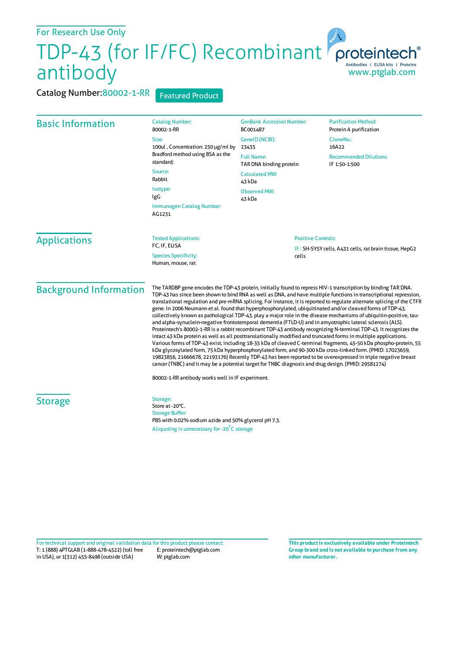## For Research Use Only

## For Research Use UTHY<br>TDP-43 (for IF/FC) Recombinant<br>Antibodies | EUSA Nits | Proteins antibody www.ptglab.com

Catalog Number: 80002-1-RR Featured Product

| <b>Basic Information</b>                         | <b>Catalog Number:</b><br>80002-1-RR                                                                                                                                                                                                                                                                                                                                                                                                                                                                                                                                                                                                                                                                                                                                                                                                                                                                                                                                                                                                                                                                                                                                                                                                                                                                                                                                                                                | <b>GenBank Accession Number:</b><br>BC001487                     | <b>Purification Method:</b><br>Protein A purification |
|--------------------------------------------------|---------------------------------------------------------------------------------------------------------------------------------------------------------------------------------------------------------------------------------------------------------------------------------------------------------------------------------------------------------------------------------------------------------------------------------------------------------------------------------------------------------------------------------------------------------------------------------------------------------------------------------------------------------------------------------------------------------------------------------------------------------------------------------------------------------------------------------------------------------------------------------------------------------------------------------------------------------------------------------------------------------------------------------------------------------------------------------------------------------------------------------------------------------------------------------------------------------------------------------------------------------------------------------------------------------------------------------------------------------------------------------------------------------------------|------------------------------------------------------------------|-------------------------------------------------------|
|                                                  | Size:<br>100ul, Concentration: 250 µg/ml by<br>Bradford method using BSA as the<br>standard;<br>Source:<br>Rabbit<br>Isotype:<br>IgG<br>Immunogen Catalog Number:<br>AG1231                                                                                                                                                                                                                                                                                                                                                                                                                                                                                                                                                                                                                                                                                                                                                                                                                                                                                                                                                                                                                                                                                                                                                                                                                                         | GeneID (NCBI):<br>23435                                          | CloneNo.:<br>16A22                                    |
|                                                  |                                                                                                                                                                                                                                                                                                                                                                                                                                                                                                                                                                                                                                                                                                                                                                                                                                                                                                                                                                                                                                                                                                                                                                                                                                                                                                                                                                                                                     | <b>Full Name:</b><br>TAR DNA binding protein                     | <b>Recommended Dilutions:</b><br>IF 1:50-1:500        |
|                                                  |                                                                                                                                                                                                                                                                                                                                                                                                                                                                                                                                                                                                                                                                                                                                                                                                                                                                                                                                                                                                                                                                                                                                                                                                                                                                                                                                                                                                                     | <b>Calculated MW:</b><br>43 kDa<br><b>Observed MW:</b><br>43 kDa |                                                       |
|                                                  |                                                                                                                                                                                                                                                                                                                                                                                                                                                                                                                                                                                                                                                                                                                                                                                                                                                                                                                                                                                                                                                                                                                                                                                                                                                                                                                                                                                                                     |                                                                  |                                                       |
|                                                  |                                                                                                                                                                                                                                                                                                                                                                                                                                                                                                                                                                                                                                                                                                                                                                                                                                                                                                                                                                                                                                                                                                                                                                                                                                                                                                                                                                                                                     | <b>Applications</b>                                              | <b>Tested Applications:</b><br>FC, IF, ELISA          |
| <b>Species Specificity:</b><br>Human, mouse, rat |                                                                                                                                                                                                                                                                                                                                                                                                                                                                                                                                                                                                                                                                                                                                                                                                                                                                                                                                                                                                                                                                                                                                                                                                                                                                                                                                                                                                                     |                                                                  |                                                       |
| <b>Background Information</b>                    | The TARDBP gene encodes the TDP-43 protein, initially found to repress HIV-1 transcription by binding TAR DNA.<br>TDP-43 has since been shown to bind RNA as well as DNA, and have multiple functions in transcriptional repression,<br>translational regulation and pre-mRNA splicing. For instance, it is reported to regulate alternate splicing of the CTFR<br>gene. In 2006 Neumann et al. found that hyperphosphorylated, ubiquitinated and/or cleaved forms of TDP-43,<br>collectively known as pathological TDP-43, play a major role in the disease mechanisms of ubiquitin-positive, tau-<br>and alpha-synuclein-negative frontotemporal dementia (FTLD-U) and in amyotrophic lateral sclerosis (ALS).<br>Proteintech's 80002-1-RR is a rabbit recombinant TDP-43 antibody recognizing N-terminal TDP-43. It recognizes the<br>intact 43 kDa protein as well as all posttranslationally modified and truncated forms in multiple applications.<br>Various forms of TDP-43 exist, including 18-35 kDa of cleaved C-terminal fragments, 45-50 kDa phospho-protein, 55<br>kDa glycosylated form, 75 kDa hyperphosphorylated form, and 90-300 kDa cross-linked form. (PMID: 17023659,<br>19823856, 21666678, 22193176) Recently TDP-43 has been reported to be overexpressed in triple negative breast<br>cancer (TNBC) and it may be a potential target for TNBC diagnosis and drug design. (PMID: 29581274) |                                                                  |                                                       |
|                                                  | 80002-1-RR antibody works well in IF experiment.                                                                                                                                                                                                                                                                                                                                                                                                                                                                                                                                                                                                                                                                                                                                                                                                                                                                                                                                                                                                                                                                                                                                                                                                                                                                                                                                                                    |                                                                  |                                                       |
| <b>Storage</b>                                   | Storage:<br>Store at -20°C.<br><b>Storage Buffer:</b><br>PBS with 0.02% sodium azide and 50% glycerol pH 7.3.                                                                                                                                                                                                                                                                                                                                                                                                                                                                                                                                                                                                                                                                                                                                                                                                                                                                                                                                                                                                                                                                                                                                                                                                                                                                                                       |                                                                  |                                                       |
|                                                  | Aliquoting is unnecessary for -20°C storage                                                                                                                                                                                                                                                                                                                                                                                                                                                                                                                                                                                                                                                                                                                                                                                                                                                                                                                                                                                                                                                                                                                                                                                                                                                                                                                                                                         |                                                                  |                                                       |

T: 1 (888) 4PTGLAB (1-888-478-4522) (toll free in USA), or 1(312) 455-8498 (outside USA) E: proteintech@ptglab.com W: ptglab.com Fortechnical support and original validation data forthis product please contact: **This productis exclusively available under Proteintech**

**Group brand and is not available to purchase from any other manufacturer.**